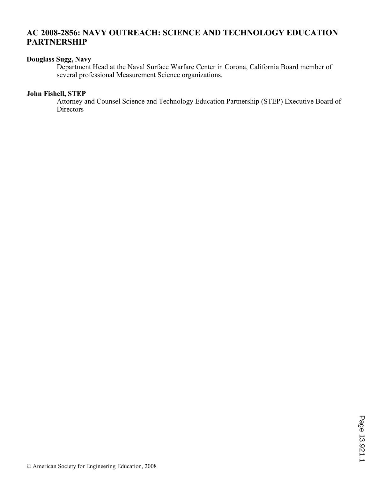# **AC 2008-2856: NAVY OUTREACH: SCIENCE AND TECHNOLOGY EDUCATION PARTNERSHIP**

# **Douglass Sugg, Navy**

Department Head at the Naval Surface Warfare Center in Corona, California Board member of several professional Measurement Science organizations.

#### **John Fishell, STEP**

Attorney and Counsel Science and Technology Education Partnership (STEP) Executive Board of Directors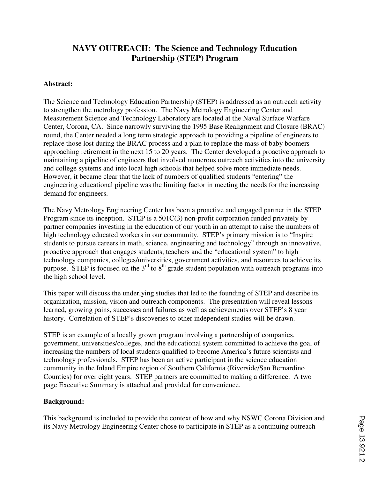# **NAVY OUTREACH: The Science and Technology Education Partnership (STEP) Program**

#### **Abstract:**

The Science and Technology Education Partnership (STEP) is addressed as an outreach activity to strengthen the metrology profession. The Navy Metrology Engineering Center and Measurement Science and Technology Laboratory are located at the Naval Surface Warfare Center, Corona, CA. Since narrowly surviving the 1995 Base Realignment and Closure (BRAC) round, the Center needed a long term strategic approach to providing a pipeline of engineers to replace those lost during the BRAC process and a plan to replace the mass of baby boomers approaching retirement in the next 15 to 20 years. The Center developed a proactive approach to maintaining a pipeline of engineers that involved numerous outreach activities into the university and college systems and into local high schools that helped solve more immediate needs. However, it became clear that the lack of numbers of qualified students "entering" the engineering educational pipeline was the limiting factor in meeting the needs for the increasing demand for engineers.

The Navy Metrology Engineering Center has been a proactive and engaged partner in the STEP Program since its inception. STEP is a 501C(3) non-profit corporation funded privately by partner companies investing in the education of our youth in an attempt to raise the numbers of high technology educated workers in our community. STEP's primary mission is to "Inspire students to pursue careers in math, science, engineering and technology" through an innovative, proactive approach that engages students, teachers and the "educational system" to high technology companies, colleges/universities, government activities, and resources to achieve its purpose. STEP is focused on the  $3<sup>rd</sup>$  to  $8<sup>th</sup>$  grade student population with outreach programs into the high school level.

This paper will discuss the underlying studies that led to the founding of STEP and describe its organization, mission, vision and outreach components. The presentation will reveal lessons learned, growing pains, successes and failures as well as achievements over STEP's 8 year history. Correlation of STEP's discoveries to other independent studies will be drawn.

STEP is an example of a locally grown program involving a partnership of companies, government, universities/colleges, and the educational system committed to achieve the goal of increasing the numbers of local students qualified to become America's future scientists and technology professionals. STEP has been an active participant in the science education community in the Inland Empire region of Southern California (Riverside/San Bernardino Counties) for over eight years. STEP partners are committed to making a difference. A two page Executive Summary is attached and provided for convenience.

# **Background:**

This background is included to provide the context of how and why NSWC Corona Division and its Navy Metrology Engineering Center chose to participate in STEP as a continuing outreach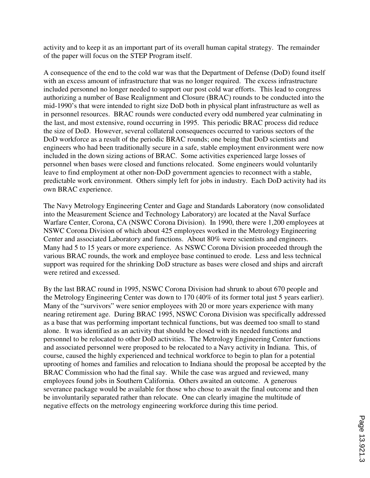activity and to keep it as an important part of its overall human capital strategy. The remainder of the paper will focus on the STEP Program itself.

A consequence of the end to the cold war was that the Department of Defense (DoD) found itself with an excess amount of infrastructure that was no longer required. The excess infrastructure included personnel no longer needed to support our post cold war efforts. This lead to congress authorizing a number of Base Realignment and Closure (BRAC) rounds to be conducted into the mid-1990's that were intended to right size DoD both in physical plant infrastructure as well as in personnel resources. BRAC rounds were conducted every odd numbered year culminating in the last, and most extensive, round occurring in 1995. This periodic BRAC process did reduce the size of DoD. However, several collateral consequences occurred to various sectors of the DoD workforce as a result of the periodic BRAC rounds; one being that DoD scientists and engineers who had been traditionally secure in a safe, stable employment environment were now included in the down sizing actions of BRAC. Some activities experienced large losses of personnel when bases were closed and functions relocated. Some engineers would voluntarily leave to find employment at other non-DoD government agencies to reconnect with a stable, predictable work environment. Others simply left for jobs in industry. Each DoD activity had its own BRAC experience.

The Navy Metrology Engineering Center and Gage and Standards Laboratory (now consolidated into the Measurement Science and Technology Laboratory) are located at the Naval Surface Warfare Center, Corona, CA (NSWC Corona Division). In 1990, there were 1,200 employees at NSWC Corona Division of which about 425 employees worked in the Metrology Engineering Center and associated Laboratory and functions. About 80% were scientists and engineers. Many had 5 to 15 years or more experience. As NSWC Corona Division proceeded through the various BRAC rounds, the work and employee base continued to erode. Less and less technical support was required for the shrinking DoD structure as bases were closed and ships and aircraft were retired and excessed.

By the last BRAC round in 1995, NSWC Corona Division had shrunk to about 670 people and the Metrology Engineering Center was down to 170 (40% of its former total just 5 years earlier). Many of the "survivors" were senior employees with 20 or more years experience with many nearing retirement age. During BRAC 1995, NSWC Corona Division was specifically addressed as a base that was performing important technical functions, but was deemed too small to stand alone. It was identified as an activity that should be closed with its needed functions and personnel to be relocated to other DoD activities. The Metrology Engineering Center functions and associated personnel were proposed to be relocated to a Navy activity in Indiana. This, of course, caused the highly experienced and technical workforce to begin to plan for a potential uprooting of homes and families and relocation to Indiana should the proposal be accepted by the BRAC Commission who had the final say. While the case was argued and reviewed, many employees found jobs in Southern California. Others awaited an outcome. A generous severance package would be available for those who chose to await the final outcome and then be involuntarily separated rather than relocate. One can clearly imagine the multitude of negative effects on the metrology engineering workforce during this time period.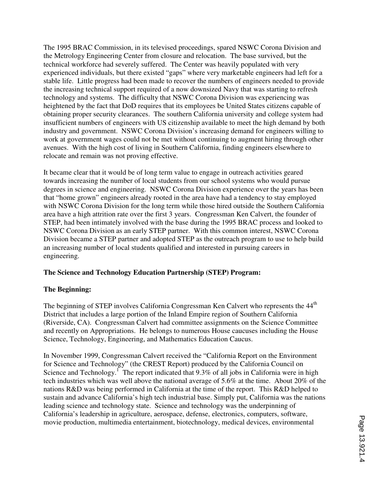The 1995 BRAC Commission, in its televised proceedings, spared NSWC Corona Division and the Metrology Engineering Center from closure and relocation. The base survived, but the technical workforce had severely suffered. The Center was heavily populated with very experienced individuals, but there existed "gaps" where very marketable engineers had left for a stable life. Little progress had been made to recover the numbers of engineers needed to provide the increasing technical support required of a now downsized Navy that was starting to refresh technology and systems. The difficulty that NSWC Corona Division was experiencing was heightened by the fact that DoD requires that its employees be United States citizens capable of obtaining proper security clearances. The southern California university and college system had insufficient numbers of engineers with US citizenship available to meet the high demand by both industry and government. NSWC Corona Division's increasing demand for engineers willing to work at government wages could not be met without continuing to augment hiring through other avenues. With the high cost of living in Southern California, finding engineers elsewhere to relocate and remain was not proving effective.

It became clear that it would be of long term value to engage in outreach activities geared towards increasing the number of local students from our school systems who would pursue degrees in science and engineering. NSWC Corona Division experience over the years has been that "home grown" engineers already rooted in the area have had a tendency to stay employed with NSWC Corona Division for the long term while those hired outside the Southern California area have a high attrition rate over the first 3 years. Congressman Ken Calvert, the founder of STEP, had been intimately involved with the base during the 1995 BRAC process and looked to NSWC Corona Division as an early STEP partner. With this common interest, NSWC Corona Division became a STEP partner and adopted STEP as the outreach program to use to help build an increasing number of local students qualified and interested in pursuing careers in engineering.

# **The Science and Technology Education Partnership (STEP) Program:**

#### **The Beginning:**

The beginning of STEP involves California Congressman Ken Calvert who represents the 44<sup>th</sup> District that includes a large portion of the Inland Empire region of Southern California (Riverside, CA). Congressman Calvert had committee assignments on the Science Committee and recently on Appropriations. He belongs to numerous House caucuses including the House Science, Technology, Engineering, and Mathematics Education Caucus.

In November 1999, Congressman Calvert received the "California Report on the Environment for Science and Technology" (the CREST Report) produced by the California Council on Science and Technology.<sup>1</sup> The report indicated that 9.3% of all jobs in California were in high tech industries which was well above the national average of 5.6% at the time. About 20% of the nations R&D was being performed in California at the time of the report. This R&D helped to sustain and advance California's high tech industrial base. Simply put, California was the nations leading science and technology state. Science and technology was the underpinning of California's leadership in agriculture, aerospace, defense, electronics, computers, software, movie production, multimedia entertainment, biotechnology, medical devices, environmental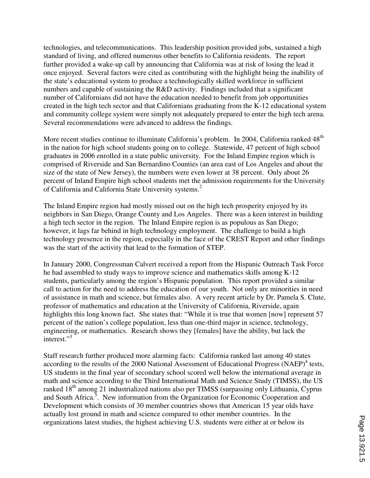technologies, and telecommunications. This leadership position provided jobs, sustained a high standard of living, and offered numerous other benefits to California residents. The report further provided a wake-up call by announcing that California was at risk of losing the lead it once enjoyed. Several factors were cited as contributing with the highlight being the inability of the state's educational system to produce a technologically skilled workforce in sufficient numbers and capable of sustaining the R&D activity. Findings included that a significant number of Californians did not have the education needed to benefit from job opportunities created in the high tech sector and that Californians graduating from the K-12 educational system and community college system were simply not adequately prepared to enter the high tech arena. Several recommendations were advanced to address the findings.

More recent studies continue to illuminate California's problem. In 2004, California ranked 48<sup>th</sup> in the nation for high school students going on to college. Statewide, 47 percent of high school graduates in 2006 enrolled in a state public university. For the Inland Empire region which is comprised of Riverside and San Bernardino Counties (an area east of Los Angeles and about the size of the state of New Jersey), the numbers were even lower at 38 percent. Only about 26 percent of Inland Empire high school students met the admission requirements for the University of California and California State University systems.<sup>2</sup>

The Inland Empire region had mostly missed out on the high tech prosperity enjoyed by its neighbors in San Diego, Orange County and Los Angeles. There was a keen interest in building a high tech sector in the region. The Inland Empire region is as populous as San Diego; however, it lags far behind in high technology employment. The challenge to build a high technology presence in the region, especially in the face of the CREST Report and other findings was the start of the activity that lead to the formation of STEP.

In January 2000, Congressman Calvert received a report from the Hispanic Outreach Task Force he had assembled to study ways to improve science and mathematics skills among K-12 students, particularly among the region's Hispanic population. This report provided a similar call to action for the need to address the education of our youth. Not only are minorities in need of assistance in math and science, but females also. A very recent article by Dr. Pamela S. Clute, professor of mathematics and education at the University of California, Riverside, again highlights this long known fact. She states that: "While it is true that women [now] represent 57 percent of the nation's college population, less than one-third major in science, technology, engineering, or mathematics. Research shows they [females] have the ability, but lack the interest."<sup>3</sup>

Staff research further produced more alarming facts: California ranked last among 40 states according to the results of the 2000 National Assessment of Educational Progress (NAEP)<sup>4</sup> tests, US students in the final year of secondary school scored well below the international average in math and science according to the Third International Math and Science Study (TIMSS), the US ranked 18<sup>th</sup> among 21 industrialized nations also per TIMSS (surpassing only Lithuania, Cyprus and South Africa.<sup>5</sup>. New information from the Organization for Economic Cooperation and Development which consists of 30 member countries shows that American 15 year olds have actually lost ground in math and science compared to other member countries. In the organizations latest studies, the highest achieving U.S. students were either at or below its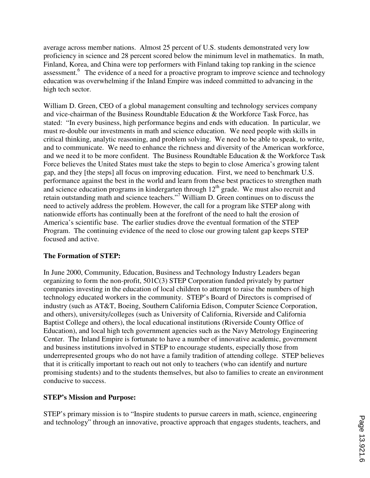average across member nations. Almost 25 percent of U.S. students demonstrated very low proficiency in science and 28 percent scored below the minimum level in mathematics. In math, Finland, Korea, and China were top performers with Finland taking top ranking in the science assessment.<sup>6</sup> The evidence of a need for a proactive program to improve science and technology education was overwhelming if the Inland Empire was indeed committed to advancing in the high tech sector.

William D. Green, CEO of a global management consulting and technology services company and vice-chairman of the Business Roundtable Education & the Workforce Task Force, has stated: "In every business, high performance begins and ends with education. In particular, we must re-double our investments in math and science education. We need people with skills in critical thinking, analytic reasoning, and problem solving. We need to be able to speak, to write, and to communicate. We need to enhance the richness and diversity of the American workforce, and we need it to be more confident. The Business Roundtable Education & the Workforce Task Force believes the United States must take the steps to begin to close America's growing talent gap, and they [the steps] all focus on improving education. First, we need to benchmark U.S. performance against the best in the world and learn from these best practices to strengthen math and science education programs in kindergarten through  $12<sup>th</sup>$  grade. We must also recruit and retain outstanding math and science teachers."<sup>7</sup> William D. Green continues on to discuss the need to actively address the problem. However, the call for a program like STEP along with nationwide efforts has continually been at the forefront of the need to halt the erosion of America's scientific base. The earlier studies drove the eventual formation of the STEP Program. The continuing evidence of the need to close our growing talent gap keeps STEP focused and active.

# **The Formation of STEP:**

In June 2000, Community, Education, Business and Technology Industry Leaders began organizing to form the non-profit, 501C(3) STEP Corporation funded privately by partner companies investing in the education of local children to attempt to raise the numbers of high technology educated workers in the community. STEP's Board of Directors is comprised of industry (such as AT&T, Boeing, Southern California Edison, Computer Science Corporation, and others), university/colleges (such as University of California, Riverside and California Baptist College and others), the local educational institutions (Riverside County Office of Education), and local high tech government agencies such as the Navy Metrology Engineering Center. The Inland Empire is fortunate to have a number of innovative academic, government and business institutions involved in STEP to encourage students, especially those from underrepresented groups who do not have a family tradition of attending college. STEP believes that it is critically important to reach out not only to teachers (who can identify and nurture promising students) and to the students themselves, but also to families to create an environment conducive to success.

# **STEP's Mission and Purpose:**

STEP's primary mission is to "Inspire students to pursue careers in math, science, engineering and technology" through an innovative, proactive approach that engages students, teachers, and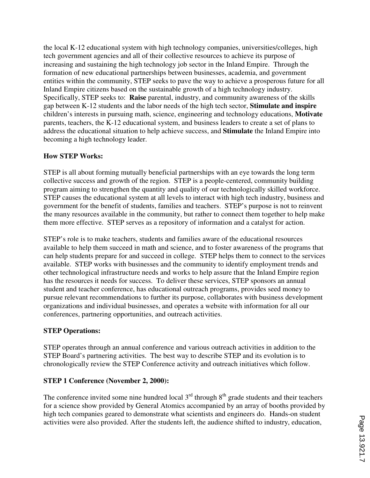the local K-12 educational system with high technology companies, universities/colleges, high tech government agencies and all of their collective resources to achieve its purpose of increasing and sustaining the high technology job sector in the Inland Empire. Through the formation of new educational partnerships between businesses, academia, and government entities within the community, STEP seeks to pave the way to achieve a prosperous future for all Inland Empire citizens based on the sustainable growth of a high technology industry. Specifically, STEP seeks to: **Raise** parental, industry, and community awareness of the skills gap between K-12 students and the labor needs of the high tech sector, **Stimulate and inspire** children's interests in pursuing math, science, engineering and technology educations, **Motivate** parents, teachers, the K-12 educational system, and business leaders to create a set of plans to address the educational situation to help achieve success, and **Stimulate** the Inland Empire into becoming a high technology leader.

# **How STEP Works:**

STEP is all about forming mutually beneficial partnerships with an eye towards the long term collective success and growth of the region. STEP is a people-centered, community building program aiming to strengthen the quantity and quality of our technologically skilled workforce. STEP causes the educational system at all levels to interact with high tech industry, business and government for the benefit of students, families and teachers. STEP's purpose is not to reinvent the many resources available in the community, but rather to connect them together to help make them more effective. STEP serves as a repository of information and a catalyst for action.

STEP's role is to make teachers, students and families aware of the educational resources available to help them succeed in math and science, and to foster awareness of the programs that can help students prepare for and succeed in college. STEP helps them to connect to the services available. STEP works with businesses and the community to identify employment trends and other technological infrastructure needs and works to help assure that the Inland Empire region has the resources it needs for success. To deliver these services, STEP sponsors an annual student and teacher conference, has educational outreach programs, provides seed money to pursue relevant recommendations to further its purpose, collaborates with business development organizations and individual businesses, and operates a website with information for all our conferences, partnering opportunities, and outreach activities.

# **STEP Operations:**

STEP operates through an annual conference and various outreach activities in addition to the STEP Board's partnering activities. The best way to describe STEP and its evolution is to chronologically review the STEP Conference activity and outreach initiatives which follow.

# **STEP 1 Conference (November 2, 2000):**

The conference invited some nine hundred local  $3<sup>rd</sup>$  through  $8<sup>th</sup>$  grade students and their teachers for a science show provided by General Atomics accompanied by an array of booths provided by high tech companies geared to demonstrate what scientists and engineers do. Hands-on student activities were also provided. After the students left, the audience shifted to industry, education,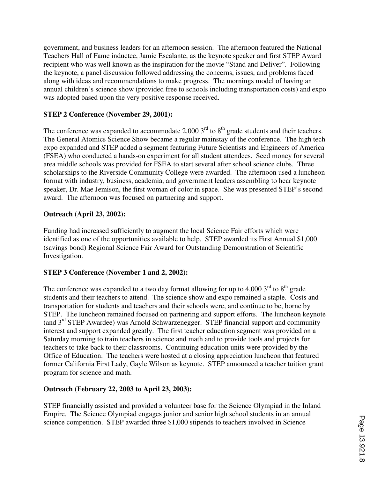government, and business leaders for an afternoon session. The afternoon featured the National Teachers Hall of Fame inductee, Jamie Escalante, as the keynote speaker and first STEP Award recipient who was well known as the inspiration for the movie "Stand and Deliver". Following the keynote, a panel discussion followed addressing the concerns, issues, and problems faced along with ideas and recommendations to make progress. The mornings model of having an annual children's science show (provided free to schools including transportation costs) and expo was adopted based upon the very positive response received.

# **STEP 2 Conference (November 29, 2001):**

The conference was expanded to accommodate 2,000  $3<sup>rd</sup>$  to  $8<sup>th</sup>$  grade students and their teachers. The General Atomics Science Show became a regular mainstay of the conference. The high tech expo expanded and STEP added a segment featuring Future Scientists and Engineers of America (FSEA) who conducted a hands-on experiment for all student attendees. Seed money for several area middle schools was provided for FSEA to start several after school science clubs. Three scholarships to the Riverside Community College were awarded. The afternoon used a luncheon format with industry, business, academia, and government leaders assembling to hear keynote speaker, Dr. Mae Jemison, the first woman of color in space. She was presented STEP's second award. The afternoon was focused on partnering and support.

# **Outreach (April 23, 2002):**

Funding had increased sufficiently to augment the local Science Fair efforts which were identified as one of the opportunities available to help. STEP awarded its First Annual \$1,000 (savings bond) Regional Science Fair Award for Outstanding Demonstration of Scientific Investigation.

# **STEP 3 Conference (November 1 and 2, 2002):**

The conference was expanded to a two day format allowing for up to 4,000  $3<sup>rd</sup>$  to  $8<sup>th</sup>$  grade students and their teachers to attend. The science show and expo remained a staple. Costs and transportation for students and teachers and their schools were, and continue to be, borne by STEP. The luncheon remained focused on partnering and support efforts. The luncheon keynote (and 3rd STEP Awardee) was Arnold Schwarzenegger. STEP financial support and community interest and support expanded greatly. The first teacher education segment was provided on a Saturday morning to train teachers in science and math and to provide tools and projects for teachers to take back to their classrooms. Continuing education units were provided by the Office of Education. The teachers were hosted at a closing appreciation luncheon that featured former California First Lady, Gayle Wilson as keynote. STEP announced a teacher tuition grant program for science and math.

# **Outreach (February 22, 2003 to April 23, 2003):**

STEP financially assisted and provided a volunteer base for the Science Olympiad in the Inland Empire. The Science Olympiad engages junior and senior high school students in an annual science competition. STEP awarded three \$1,000 stipends to teachers involved in Science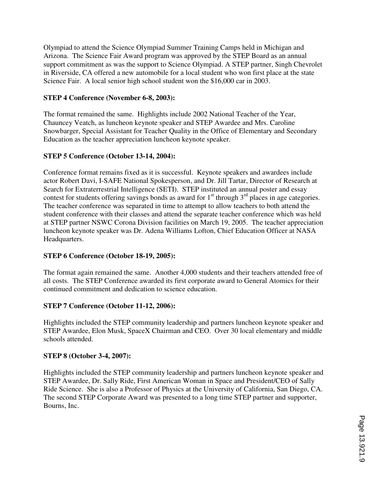Olympiad to attend the Science Olympiad Summer Training Camps held in Michigan and Arizona. The Science Fair Award program was approved by the STEP Board as an annual support commitment as was the support to Science Olympiad. A STEP partner, Singh Chevrolet in Riverside, CA offered a new automobile for a local student who won first place at the state Science Fair. A local senior high school student won the \$16,000 car in 2003.

# **STEP 4 Conference (November 6-8, 2003):**

The format remained the same. Highlights include 2002 National Teacher of the Year, Chauncey Veatch, as luncheon keynote speaker and STEP Awardee and Mrs. Caroline Snowbarger, Special Assistant for Teacher Quality in the Office of Elementary and Secondary Education as the teacher appreciation luncheon keynote speaker.

### **STEP 5 Conference (October 13-14, 2004):**

Conference format remains fixed as it is successful. Keynote speakers and awardees include actor Robert Davi, I-SAFE National Spokesperson, and Dr. Jill Tartar, Director of Research at Search for Extraterrestrial Intelligence (SETI). STEP instituted an annual poster and essay contest for students offering savings bonds as award for  $1<sup>st</sup>$  through  $3<sup>rd</sup>$  places in age categories. The teacher conference was separated in time to attempt to allow teachers to both attend the student conference with their classes and attend the separate teacher conference which was held at STEP partner NSWC Corona Division facilities on March 19, 2005. The teacher appreciation luncheon keynote speaker was Dr. Adena Williams Lofton, Chief Education Officer at NASA Headquarters.

#### **STEP 6 Conference (October 18-19, 2005):**

The format again remained the same. Another 4,000 students and their teachers attended free of all costs. The STEP Conference awarded its first corporate award to General Atomics for their continued commitment and dedication to science education.

#### **STEP 7 Conference (October 11-12, 2006):**

Highlights included the STEP community leadership and partners luncheon keynote speaker and STEP Awardee, Elon Musk, SpaceX Chairman and CEO. Over 30 local elementary and middle schools attended.

#### **STEP 8 (October 3-4, 2007):**

Highlights included the STEP community leadership and partners luncheon keynote speaker and STEP Awardee, Dr. Sally Ride, First American Woman in Space and President/CEO of Sally Ride Science. She is also a Professor of Physics at the University of California, San Diego, CA. The second STEP Corporate Award was presented to a long time STEP partner and supporter, Bourns, Inc.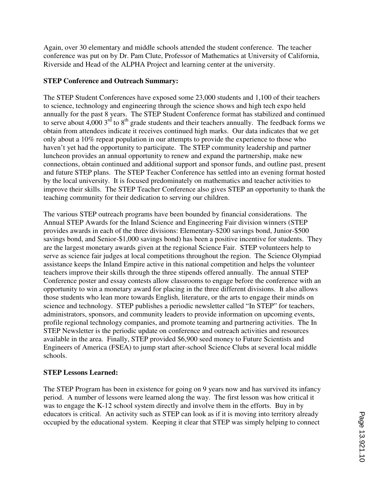Again, over 30 elementary and middle schools attended the student conference. The teacher conference was put on by Dr. Pam Clute, Professor of Mathematics at University of California, Riverside and Head of the ALPHA Project and learning center at the university.

# **STEP Conference and Outreach Summary:**

The STEP Student Conferences have exposed some 23,000 students and 1,100 of their teachers to science, technology and engineering through the science shows and high tech expo held annually for the past 8 years. The STEP Student Conference format has stabilized and continued to serve about  $4,000$   $3^{rd}$  to  $8^{th}$  grade students and their teachers annually. The feedback forms we obtain from attendees indicate it receives continued high marks. Our data indicates that we get only about a 10% repeat population in our attempts to provide the experience to those who haven't yet had the opportunity to participate. The STEP community leadership and partner luncheon provides an annual opportunity to renew and expand the partnership, make new connections, obtain continued and additional support and sponsor funds, and outline past, present and future STEP plans. The STEP Teacher Conference has settled into an evening format hosted by the local university. It is focused predominately on mathematics and teacher activities to improve their skills. The STEP Teacher Conference also gives STEP an opportunity to thank the teaching community for their dedication to serving our children.

The various STEP outreach programs have been bounded by financial considerations. The Annual STEP Awards for the Inland Science and Engineering Fair division winners (STEP provides awards in each of the three divisions: Elementary-\$200 savings bond, Junior-\$500 savings bond, and Senior-\$1,000 savings bond) has been a positive incentive for students. They are the largest monetary awards given at the regional Science Fair. STEP volunteers help to serve as science fair judges at local competitions throughout the region. The Science Olympiad assistance keeps the Inland Empire active in this national competition and helps the volunteer teachers improve their skills through the three stipends offered annually. The annual STEP Conference poster and essay contests allow classrooms to engage before the conference with an opportunity to win a monetary award for placing in the three different divisions. It also allows those students who lean more towards English, literature, or the arts to engage their minds on science and technology. STEP publishes a periodic newsletter called "In STEP" for teachers, administrators, sponsors, and community leaders to provide information on upcoming events, profile regional technology companies, and promote teaming and partnering activities. The In STEP Newsletter is the periodic update on conference and outreach activities and resources available in the area. Finally, STEP provided \$6,900 seed money to Future Scientists and Engineers of America (FSEA) to jump start after-school Science Clubs at several local middle schools.

# **STEP Lessons Learned:**

The STEP Program has been in existence for going on 9 years now and has survived its infancy period. A number of lessons were learned along the way. The first lesson was how critical it was to engage the K-12 school system directly and involve them in the efforts. Buy in by educators is critical. An activity such as STEP can look as if it is moving into territory already occupied by the educational system. Keeping it clear that STEP was simply helping to connect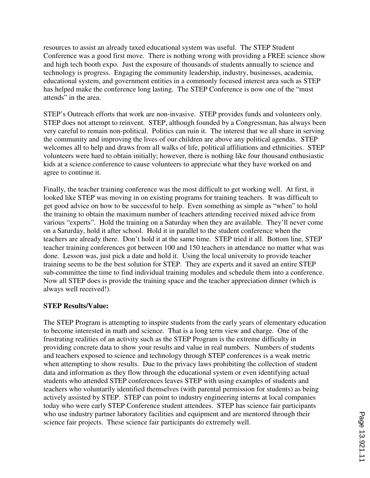resources to assist an already taxed educational system was useful. The STEP Student Conference was a good first move. There is nothing wrong with providing a FREE science show and high tech booth expo. Just the exposure of thousands of students annually to science and technology is progress. Engaging the community leadership, industry, businesses, academia, educational system, and government entities in a commonly focused interest area such as STEP has helped make the conference long lasting. The STEP Conference is now one of the "must attends" in the area.

STEP's Outreach efforts that work are non-invasive. STEP provides funds and volunteers only. STEP does not attempt to reinvent. STEP, although founded by a Congressman, has always been very careful to remain non-political. Politics can ruin it. The interest that we all share in serving the community and improving the lives of our children are above any political agendas. STEP welcomes all to help and draws from all walks of life, political affiliations and ethnicities. STEP volunteers were hard to obtain initially; however, there is nothing like four thousand enthusiastic kids at a science conference to cause volunteers to appreciate what they have worked on and agree to continue it.

Finally, the teacher training conference was the most difficult to get working well. At first, it looked like STEP was moving in on existing programs for training teachers. It was difficult to get good advice on how to be successful to help. Even something as simple as "when" to hold the training to obtain the maximum number of teachers attending received mixed advice from various "experts". Hold the training on a Saturday when they are available. They'll never come on a Saturday, hold it after school. Hold it in parallel to the student conference when the teachers are already there. Don't hold it at the same time. STEP tried it all. Bottom line, STEP teacher training conferences got between 100 and 150 teachers in attendance no matter what was done. Lesson was, just pick a date and hold it. Using the local university to provide teacher training seems to be the best solution for STEP. They are experts and it saved an entire STEP sub-committee the time to find individual training modules and schedule them into a conference. Now all STEP does is provide the training space and the teacher appreciation dinner (which is always well received!).

#### **STEP Results/Value:**

The STEP Program is attempting to inspire students from the early years of elementary education to become interested in math and science. That is a long term view and charge. One of the frustrating realities of an activity such as the STEP Program is the extreme difficulty in providing concrete data to show your results and value in real numbers. Numbers of students and teachers exposed to science and technology through STEP conferences is a weak metric when attempting to show results. Due to the privacy laws prohibiting the collection of student data and information as they flow through the educational system or even identifying actual students who attended STEP conferences leaves STEP with using examples of students and teachers who voluntarily identified themselves (with parental permission for students) as being actively assisted by STEP. STEP can point to industry engineering interns at local companies today who were early STEP Conference student attendees. STEP has science fair participants who use industry partner laboratory facilities and equipment and are mentored through their science fair projects. These science fair participants do extremely well.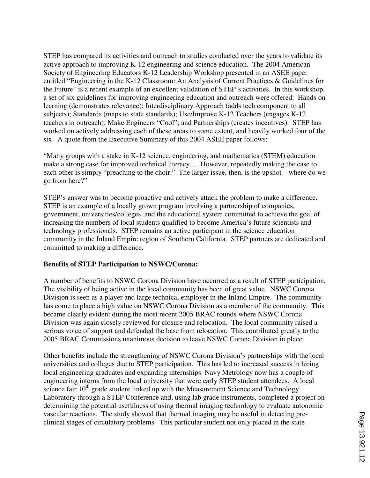STEP has compared its activities and outreach to studies conducted over the years to validate its active approach to improving K-12 engineering and science education. The 2004 American Society of Engineering Educators K-12 Leadership Workshop presented in an ASEE paper entitled "Engineering in the K-12 Classroom: An Analysis of Current Practices & Guidelines for the Future" is a recent example of an excellent validation of STEP's activities. In this workshop, a set of six guidelines for improving engineering education and outreach were offered: Hands on learning (demonstrates relevance); Interdisciplinary Approach (adds tech component to all subjects); Standards (maps to state standards); Use/Improve K-12 Teachers (engages K-12 teachers in outreach); Make Engineers "Cool"; and Partnerships (creates incentives). STEP has worked on actively addressing each of these areas to some extent, and heavily worked four of the six. A quote from the Executive Summary of this 2004 ASEE paper follows:

"Many groups with a stake in K-12 science, engineering, and mathematics (STEM) education make a strong case for improved technical literacy…..However, repeatedly making the case to each other is simply "preaching to the choir." The larger issue, then, is the upshot---where do we go from here?"

STEP's answer was to become proactive and actively attack the problem to make a difference. STEP is an example of a locally grown program involving a partnership of companies, government, universities/colleges, and the educational system committed to achieve the goal of increasing the numbers of local students qualified to become America's future scientists and technology professionals. STEP remains an active participant in the science education community in the Inland Empire region of Southern California. STEP partners are dedicated and committed to making a difference.

# **Benefits of STEP Participation to NSWC/Corona:**

A number of benefits to NSWC Corona Division have occurred as a result of STEP participation. The visibility of being active in the local community has been of great value. NSWC Corona Division is seen as a player and large technical employer in the Inland Empire. The community has come to place a high value on NSWC Corona Division as a member of the community. This became clearly evident during the most recent 2005 BRAC rounds where NSWC Corona Division was again closely reviewed for closure and relocation. The local community raised a serious voice of support and defended the base from relocation. This contributed greatly to the 2005 BRAC Commissions unanimous decision to leave NSWC Corona Division in place.

Other benefits include the strengthening of NSWC Corona Division's partnerships with the local universities and colleges due to STEP participation. This has led to increased success in hiring local engineering graduates and expanding internships. Navy Metrology now has a couple of engineering interns from the local university that were early STEP student attendees. A local science fair  $10<sup>th</sup>$  grade student linked up with the Measurement Science and Technology Laboratory through a STEP Conference and, using lab grade instruments, completed a project on determining the potential usefulness of using thermal imaging technology to evaluate autonomic vascular reactions. The study showed that thermal imaging may be useful in detecting preclinical stages of circulatory problems. This particular student not only placed in the state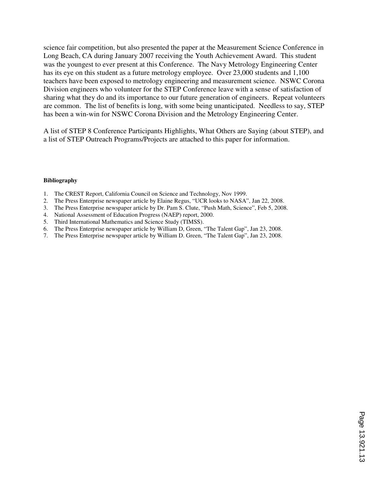science fair competition, but also presented the paper at the Measurement Science Conference in Long Beach, CA during January 2007 receiving the Youth Achievement Award. This student was the youngest to ever present at this Conference. The Navy Metrology Engineering Center has its eye on this student as a future metrology employee. Over 23,000 students and 1,100 teachers have been exposed to metrology engineering and measurement science. NSWC Corona Division engineers who volunteer for the STEP Conference leave with a sense of satisfaction of sharing what they do and its importance to our future generation of engineers. Repeat volunteers are common. The list of benefits is long, with some being unanticipated. Needless to say, STEP has been a win-win for NSWC Corona Division and the Metrology Engineering Center.

A list of STEP 8 Conference Participants Highlights, What Others are Saying (about STEP), and a list of STEP Outreach Programs/Projects are attached to this paper for information.

#### **Bibliography**

- 1. The CREST Report, California Council on Science and Technology, Nov 1999.
- 2. The Press Enterprise newspaper article by Elaine Regus, "UCR looks to NASA", Jan 22, 2008.
- 3. The Press Enterprise newspaper article by Dr. Pam S. Clute, "Push Math, Science", Feb 5, 2008.
- 4. National Assessment of Education Progress (NAEP) report, 2000.
- 5. Third International Mathematics and Science Study (TIMSS).
- 6. The Press Enterprise newspaper article by William D, Green, "The Talent Gap", Jan 23, 2008.
- 7. The Press Enterprise newspaper article by William D. Green, "The Talent Gap", Jan 23, 2008.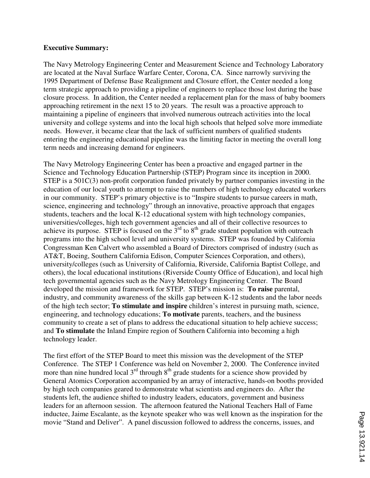#### **Executive Summary:**

The Navy Metrology Engineering Center and Measurement Science and Technology Laboratory are located at the Naval Surface Warfare Center, Corona, CA. Since narrowly surviving the 1995 Department of Defense Base Realignment and Closure effort, the Center needed a long term strategic approach to providing a pipeline of engineers to replace those lost during the base closure process. In addition, the Center needed a replacement plan for the mass of baby boomers approaching retirement in the next 15 to 20 years. The result was a proactive approach to maintaining a pipeline of engineers that involved numerous outreach activities into the local university and college systems and into the local high schools that helped solve more immediate needs. However, it became clear that the lack of sufficient numbers of qualified students entering the engineering educational pipeline was the limiting factor in meeting the overall long term needs and increasing demand for engineers.

The Navy Metrology Engineering Center has been a proactive and engaged partner in the Science and Technology Education Partnership (STEP) Program since its inception in 2000. STEP is a 501C(3) non-profit corporation funded privately by partner companies investing in the education of our local youth to attempt to raise the numbers of high technology educated workers in our community. STEP's primary objective is to "Inspire students to pursue careers in math, science, engineering and technology" through an innovative, proactive approach that engages students, teachers and the local K-12 educational system with high technology companies, universities/colleges, high tech government agencies and all of their collective resources to achieve its purpose. STEP is focused on the  $3<sup>rd</sup>$  to  $8<sup>th</sup>$  grade student population with outreach programs into the high school level and university systems. STEP was founded by California Congressman Ken Calvert who assembled a Board of Directors comprised of industry (such as AT&T, Boeing, Southern California Edison, Computer Sciences Corporation, and others), university/colleges (such as University of California, Riverside, California Baptist College, and others), the local educational institutions (Riverside County Office of Education), and local high tech governmental agencies such as the Navy Metrology Engineering Center. The Board developed the mission and framework for STEP. STEP's mission is: **To raise** parental, industry, and community awareness of the skills gap between K-12 students and the labor needs of the high tech sector; **To stimulate and inspire** children's interest in pursuing math, science, engineering, and technology educations; **To motivate** parents, teachers, and the business community to create a set of plans to address the educational situation to help achieve success; and **To stimulate** the Inland Empire region of Southern California into becoming a high technology leader.

The first effort of the STEP Board to meet this mission was the development of the STEP Conference. The STEP 1 Conference was held on November 2, 2000. The Conference invited more than nine hundred local  $3<sup>rd</sup>$  through  $8<sup>th</sup>$  grade students for a science show provided by General Atomics Corporation accompanied by an array of interactive, hands-on booths provided by high tech companies geared to demonstrate what scientists and engineers do. After the students left, the audience shifted to industry leaders, educators, government and business leaders for an afternoon session. The afternoon featured the National Teachers Hall of Fame inductee, Jaime Escalante, as the keynote speaker who was well known as the inspiration for the movie "Stand and Deliver". A panel discussion followed to address the concerns, issues, and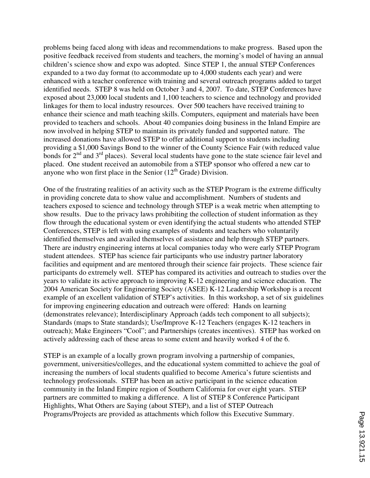problems being faced along with ideas and recommendations to make progress. Based upon the positive feedback received from students and teachers, the morning's model of having an annual children's science show and expo was adopted. Since STEP 1, the annual STEP Conferences expanded to a two day format (to accommodate up to 4,000 students each year) and were enhanced with a teacher conference with training and several outreach programs added to target identified needs. STEP 8 was held on October 3 and 4, 2007. To date, STEP Conferences have exposed about 23,000 local students and 1,100 teachers to science and technology and provided linkages for them to local industry resources. Over 500 teachers have received training to enhance their science and math teaching skills. Computers, equipment and materials have been provided to teachers and schools. About 40 companies doing business in the Inland Empire are now involved in helping STEP to maintain its privately funded and supported nature. The increased donations have allowed STEP to offer additional support to students including providing a \$1,000 Savings Bond to the winner of the County Science Fair (with reduced value bonds for  $2<sup>nd</sup>$  and  $3<sup>rd</sup>$  places). Several local students have gone to the state science fair level and placed. One student received an automobile from a STEP sponsor who offered a new car to anyone who won first place in the Senior  $(12<sup>th</sup>$  Grade) Division.

One of the frustrating realities of an activity such as the STEP Program is the extreme difficulty in providing concrete data to show value and accomplishment. Numbers of students and teachers exposed to science and technology through STEP is a weak metric when attempting to show results. Due to the privacy laws prohibiting the collection of student information as they flow through the educational system or even identifying the actual students who attended STEP Conferences, STEP is left with using examples of students and teachers who voluntarily identified themselves and availed themselves of assistance and help through STEP partners. There are industry engineering interns at local companies today who were early STEP Program student attendees. STEP has science fair participants who use industry partner laboratory facilities and equipment and are mentored through their science fair projects. These science fair participants do extremely well. STEP has compared its activities and outreach to studies over the years to validate its active approach to improving K-12 engineering and science education. The 2004 American Society for Engineering Society (ASEE) K-12 Leadership Workshop is a recent example of an excellent validation of STEP's activities. In this workshop, a set of six guidelines for improving engineering education and outreach were offered: Hands on learning (demonstrates relevance); Interdisciplinary Approach (adds tech component to all subjects); Standards (maps to State standards); Use/Improve K-12 Teachers (engages K-12 teachers in outreach); Make Engineers "Cool"; and Partnerships (creates incentives). STEP has worked on actively addressing each of these areas to some extent and heavily worked 4 of the 6.

STEP is an example of a locally grown program involving a partnership of companies, government, universities/colleges, and the educational system committed to achieve the goal of increasing the numbers of local students qualified to become America's future scientists and technology professionals. STEP has been an active participant in the science education community in the Inland Empire region of Southern California for over eight years. STEP partners are committed to making a difference. A list of STEP 8 Conference Participant Highlights, What Others are Saying (about STEP), and a list of STEP Outreach Programs/Projects are provided as attachments which follow this Executive Summary.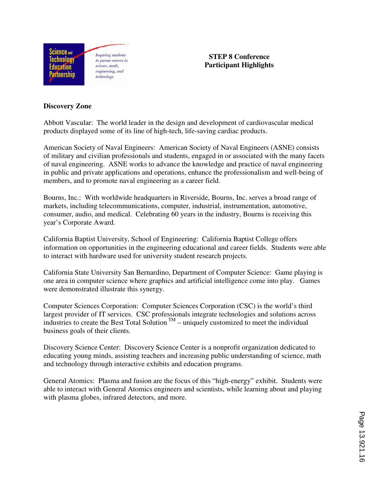

**STEP 8 Conference Participant Highlights** 

#### **Discovery Zone**

Abbott Vascular: The world leader in the design and development of cardiovascular medical products displayed some of its line of high-tech, life-saving cardiac products.

American Society of Naval Engineers: American Society of Naval Engineers (ASNE) consists of military and civilian professionals and students, engaged in or associated with the many facets of naval engineering. ASNE works to advance the knowledge and practice of naval engineering in public and private applications and operations, enhance the professionalism and well-being of members, and to promote naval engineering as a career field.

Bourns, Inc.: With worldwide headquarters in Riverside, Bourns, Inc. serves a broad range of markets, including telecommunications, computer, industrial, instrumentation, automotive, consumer, audio, and medical. Celebrating 60 years in the industry, Bourns is receiving this year's Corporate Award.

California Baptist University, School of Engineering: California Baptist College offers information on opportunities in the engineering educational and career fields. Students were able to interact with hardware used for university student research projects.

California State University San Bernardino, Department of Computer Science: Game playing is one area in computer science where graphics and artificial intelligence come into play. Games were demonstrated illustrate this synergy.

Computer Sciences Corporation: Computer Sciences Corporation (CSC) is the world's third largest provider of IT services. CSC professionals integrate technologies and solutions across industries to create the Best Total Solution  $TM$  – uniquely customized to meet the individual business goals of their clients.

Discovery Science Center: Discovery Science Center is a nonprofit organization dedicated to educating young minds, assisting teachers and increasing public understanding of science, math and technology through interactive exhibits and education programs.

General Atomics: Plasma and fusion are the focus of this "high-energy" exhibit. Students were able to interact with General Atomics engineers and scientists, while learning about and playing with plasma globes, infrared detectors, and more.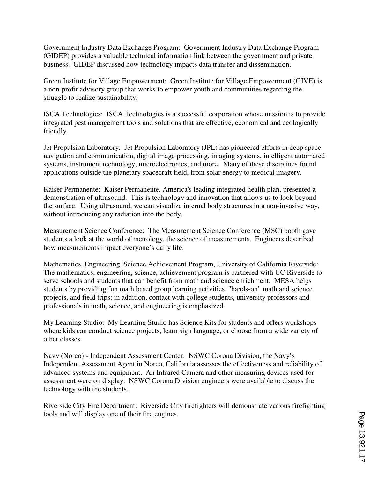Government Industry Data Exchange Program: Government Industry Data Exchange Program (GIDEP) provides a valuable technical information link between the government and private business. GIDEP discussed how technology impacts data transfer and dissemination.

Green Institute for Village Empowerment: Green Institute for Village Empowerment (GIVE) is a non-profit advisory group that works to empower youth and communities regarding the struggle to realize sustainability.

ISCA Technologies: ISCA Technologies is a successful corporation whose mission is to provide integrated pest management tools and solutions that are effective, economical and ecologically friendly.

Jet Propulsion Laboratory: Jet Propulsion Laboratory (JPL) has pioneered efforts in deep space navigation and communication, digital image processing, imaging systems, intelligent automated systems, instrument technology, microelectronics, and more. Many of these disciplines found applications outside the planetary spacecraft field, from solar energy to medical imagery.

Kaiser Permanente: Kaiser Permanente, America's leading integrated health plan, presented a demonstration of ultrasound. This is technology and innovation that allows us to look beyond the surface. Using ultrasound, we can visualize internal body structures in a non-invasive way, without introducing any radiation into the body.

Measurement Science Conference: The Measurement Science Conference (MSC) booth gave students a look at the world of metrology, the science of measurements. Engineers described how measurements impact everyone's daily life.

Mathematics, Engineering, Science Achievement Program, University of California Riverside: The mathematics, engineering, science, achievement program is partnered with UC Riverside to serve schools and students that can benefit from math and science enrichment. MESA helps students by providing fun math based group learning activities, "hands-on" math and science projects, and field trips; in addition, contact with college students, university professors and professionals in math, science, and engineering is emphasized.

My Learning Studio: My Learning Studio has Science Kits for students and offers workshops where kids can conduct science projects, learn sign language, or choose from a wide variety of other classes.

Navy (Norco) - Independent Assessment Center: NSWC Corona Division, the Navy's Independent Assessment Agent in Norco, California assesses the effectiveness and reliability of advanced systems and equipment. An Infrared Camera and other measuring devices used for assessment were on display. NSWC Corona Division engineers were available to discuss the technology with the students.

Riverside City Fire Department: Riverside City firefighters will demonstrate various firefighting tools and will display one of their fire engines.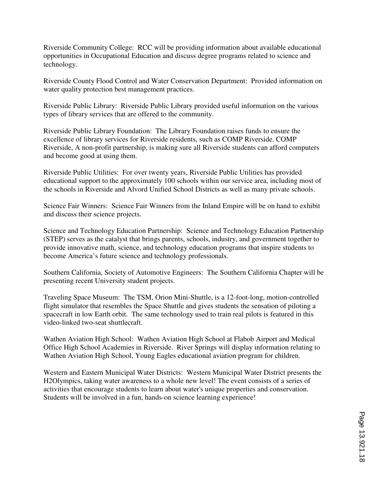Riverside Community College: RCC will be providing information about available educational opportunities in Occupational Education and discuss degree programs related to science and technology.

Riverside County Flood Control and Water Conservation Department: Provided information on water quality protection best management practices.

Riverside Public Library: Riverside Public Library provided useful information on the various types of library services that are offered to the community.

Riverside Public Library Foundation: The Library Foundation raises funds to ensure the excellence of library services for Riverside residents, such as COMP Riverside. COMP Riverside, A non-profit partnership, is making sure all Riverside students can afford computers and become good at using them.

Riverside Public Utilities: For over twenty years, Riverside Public Utilities has provided educational support to the approximately 100 schools within our service area, including most of the schools in Riverside and Alvord Unified School Districts as well as many private schools.

Science Fair Winners: Science Fair Winners from the Inland Empire will be on hand to exhibit and discuss their science projects.

Science and Technology Education Partnership: Science and Technology Education Partnership (STEP) serves as the catalyst that brings parents, schools, industry, and government together to provide innovative math, science, and technology education programs that inspire students to become America's future science and technology professionals.

Southern California, Society of Automotive Engineers: The Southern California Chapter will be presenting recent University student projects.

Traveling Space Museum: The TSM, Orion Mini-Shuttle, is a 12-foot-long, motion-controlled flight simulator that resembles the Space Shuttle and gives students the sensation of piloting a spacecraft in low Earth orbit. The same technology used to train real pilots is featured in this video-linked two-seat shuttlecraft.

Wathen Aviation High School: Wathen Aviation High School at Flabob Airport and Medical Office High School Academies in Riverside. River Springs will display information relating to Wathen Aviation High School, Young Eagles educational aviation program for children.

Western and Eastern Municipal Water Districts: Western Municipal Water District presents the H2Olympics, taking water awareness to a whole new level! The event consists of a series of activities that encourage students to learn about water's unique properties and conservation. Students will be involved in a fun, hands-on science learning experience!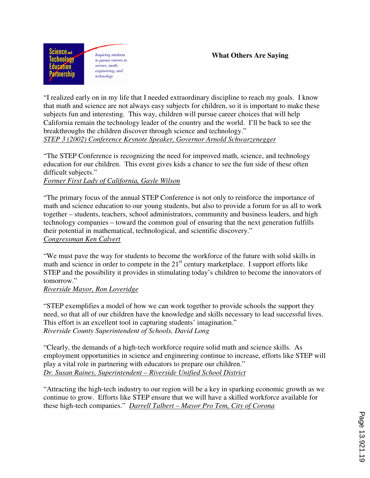

**Inspiring students** to pursue careers in science, math. engineering, and technology:

### **What Others Are Saying**

"I realized early on in my life that I needed extraordinary discipline to reach my goals. I know that math and science are not always easy subjects for children, so it is important to make these subjects fun and interesting. This way, children will pursue career choices that will help California remain the technology leader of the country and the world. I'll be back to see the breakthroughs the children discover through science and technology." *STEP 3 (2002) Conference Keynote Speaker, Governor Arnold Schwarzenegger*

"The STEP Conference is recognizing the need for improved math, science, and technology education for our children. This event gives kids a chance to see the fun side of these often difficult subjects."

### *Former First Lady of California, Gayle Wilson*

"The primary focus of the annual STEP Conference is not only to reinforce the importance of math and science education to our young students, but also to provide a forum for us all to work together – students, teachers, school administrators, community and business leaders, and high technology companies – toward the common goal of ensuring that the next generation fulfills their potential in mathematical, technological, and scientific discovery." *Congressman Ken Calvert*

"We must pave the way for students to become the workforce of the future with solid skills in math and science in order to compete in the  $21<sup>st</sup>$  century marketplace. I support efforts like STEP and the possibility it provides in stimulating today's children to become the innovators of tomorrow."

### *Riverside Mayor, Ron Loveridge*

"STEP exemplifies a model of how we can work together to provide schools the support they need, so that all of our children have the knowledge and skills necessary to lead successful lives. This effort is an excellent tool in capturing students' imagination." *Riverside County Superintendent of Schools, David Long* 

"Clearly, the demands of a high-tech workforce require solid math and science skills. As employment opportunities in science and engineering continue to increase, efforts like STEP will play a vital role in partnering with educators to prepare our children." *Dr. Susan Rainey, Superintendent – Riverside Unified School District* 

"Attracting the high-tech industry to our region will be a key in sparking economic growth as we continue to grow. Efforts like STEP ensure that we will have a skilled workforce available for these high-tech companies." *Darrell Talbert – Mayor Pro Tem, City of Corona*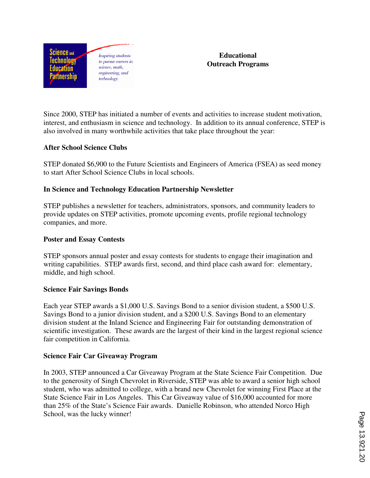

**Educational Outreach Programs** 

Since 2000, STEP has initiated a number of events and activities to increase student motivation, interest, and enthusiasm in science and technology. In addition to its annual conference, STEP is also involved in many worthwhile activities that take place throughout the year:

### **After School Science Clubs**

STEP donated \$6,900 to the Future Scientists and Engineers of America (FSEA) as seed money to start After School Science Clubs in local schools.

### **In Science and Technology Education Partnership Newsletter**

STEP publishes a newsletter for teachers, administrators, sponsors, and community leaders to provide updates on STEP activities, promote upcoming events, profile regional technology companies, and more.

#### **Poster and Essay Contests**

STEP sponsors annual poster and essay contests for students to engage their imagination and writing capabilities. STEP awards first, second, and third place cash award for: elementary, middle, and high school.

#### **Science Fair Savings Bonds**

Each year STEP awards a \$1,000 U.S. Savings Bond to a senior division student, a \$500 U.S. Savings Bond to a junior division student, and a \$200 U.S. Savings Bond to an elementary division student at the Inland Science and Engineering Fair for outstanding demonstration of scientific investigation. These awards are the largest of their kind in the largest regional science fair competition in California.

#### **Science Fair Car Giveaway Program**

In 2003, STEP announced a Car Giveaway Program at the State Science Fair Competition. Due to the generosity of Singh Chevrolet in Riverside, STEP was able to award a senior high school student, who was admitted to college, with a brand new Chevrolet for winning First Place at the State Science Fair in Los Angeles. This Car Giveaway value of \$16,000 accounted for more than 25% of the State's Science Fair awards. Danielle Robinson, who attended Norco High School, was the lucky winner!